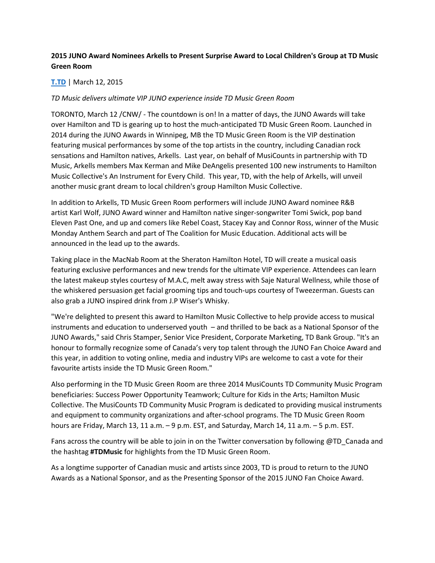# **2015 JUNO Award Nominees Arkells to Present Surprise Award to Local Children's Group at TD Music Green Room**

### **[T.TD](http://www.stockhouse.com/companies/quote?symbol=T.TD)** | March 12, 2015

#### *TD Music delivers ultimate VIP JUNO experience inside TD Music Green Room*

TORONTO, March 12 /CNW/ - The countdown is on! In a matter of days, the JUNO Awards will take over Hamilton and TD is gearing up to host the much-anticipated TD Music Green Room. Launched in 2014 during the JUNO Awards in Winnipeg, MB the TD Music Green Room is the VIP destination featuring musical performances by some of the top artists in the country, including Canadian rock sensations and Hamilton natives, Arkells. Last year, on behalf of MusiCounts in partnership with TD Music, Arkells members Max Kerman and Mike DeAngelis presented 100 new instruments to Hamilton Music Collective's An Instrument for Every Child. This year, TD, with the help of Arkells, will unveil another music grant dream to local children's group Hamilton Music Collective.

In addition to Arkells, TD Music Green Room performers will include JUNO Award nominee R&B artist Karl Wolf, JUNO Award winner and Hamilton native singer-songwriter Tomi Swick, pop band Eleven Past One, and up and comers like Rebel Coast, Stacey Kay and Connor Ross, winner of the Music Monday Anthem Search and part of The Coalition for Music Education. Additional acts will be announced in the lead up to the awards.

Taking place in the MacNab Room at the Sheraton Hamilton Hotel, TD will create a musical oasis featuring exclusive performances and new trends for the ultimate VIP experience. Attendees can learn the latest makeup styles courtesy of M.A.C, melt away stress with Saje Natural Wellness, while those of the whiskered persuasion get facial grooming tips and touch-ups courtesy of Tweezerman. Guests can also grab a JUNO inspired drink from J.P Wiser's Whisky.

"We're delighted to present this award to Hamilton Music Collective to help provide access to musical instruments and education to underserved youth – and thrilled to be back as a National Sponsor of the JUNO Awards," said Chris Stamper, Senior Vice President, Corporate Marketing, TD Bank Group. "It's an honour to formally recognize some of Canada's very top talent through the JUNO Fan Choice Award and this year, in addition to voting online, media and industry VIPs are welcome to cast a vote for their favourite artists inside the TD Music Green Room."

Also performing in the TD Music Green Room are three 2014 MusiCounts TD Community Music Program beneficiaries: Success Power Opportunity Teamwork; Culture for Kids in the Arts; Hamilton Music Collective. The MusiCounts TD Community Music Program is dedicated to providing musical instruments and equipment to community organizations and after-school programs. The TD Music Green Room hours are Friday, March 13, 11 a.m. – 9 p.m. EST, and Saturday, March 14, 11 a.m. – 5 p.m. EST.

Fans across the country will be able to join in on the Twitter conversation by following @TD\_Canada and the hashtag **#TDMusic** for highlights from the TD Music Green Room.

As a longtime supporter of Canadian music and artists since 2003, TD is proud to return to the JUNO Awards as a National Sponsor, and as the Presenting Sponsor of the 2015 JUNO Fan Choice Award.